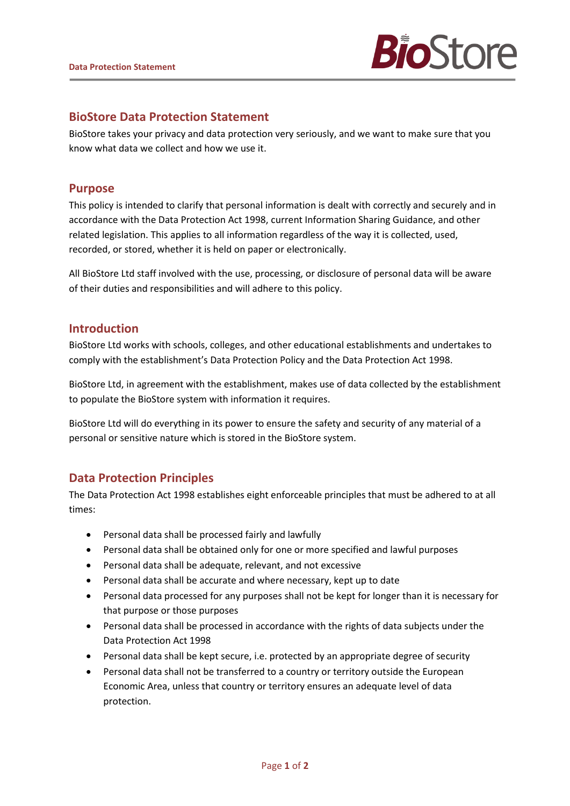

# **BioStore Data Protection Statement**

BioStore takes your privacy and data protection very seriously, and we want to make sure that you know what data we collect and how we use it.

## **Purpose**

This policy is intended to clarify that personal information is dealt with correctly and securely and in accordance with the Data Protection Act 1998, current Information Sharing Guidance, and other related legislation. This applies to all information regardless of the way it is collected, used, recorded, or stored, whether it is held on paper or electronically.

All BioStore Ltd staff involved with the use, processing, or disclosure of personal data will be aware of their duties and responsibilities and will adhere to this policy.

### **Introduction**

BioStore Ltd works with schools, colleges, and other educational establishments and undertakes to comply with the establishment's Data Protection Policy and the Data Protection Act 1998.

BioStore Ltd, in agreement with the establishment, makes use of data collected by the establishment to populate the BioStore system with information it requires.

BioStore Ltd will do everything in its power to ensure the safety and security of any material of a personal or sensitive nature which is stored in the BioStore system.

## **Data Protection Principles**

The Data Protection Act 1998 establishes eight enforceable principles that must be adhered to at all times:

- Personal data shall be processed fairly and lawfully
- Personal data shall be obtained only for one or more specified and lawful purposes
- Personal data shall be adequate, relevant, and not excessive
- Personal data shall be accurate and where necessary, kept up to date
- Personal data processed for any purposes shall not be kept for longer than it is necessary for that purpose or those purposes
- Personal data shall be processed in accordance with the rights of data subjects under the Data Protection Act 1998
- Personal data shall be kept secure, i.e. protected by an appropriate degree of security
- Personal data shall not be transferred to a country or territory outside the European Economic Area, unless that country or territory ensures an adequate level of data protection.